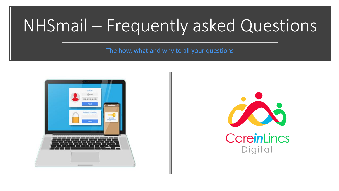# NHSmail – Frequently asked Questions

The how, what and why to all your questions



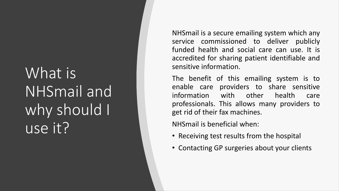## What is NHSmail and why should I use it?

NHSmail is a secure emailing system which any service commissioned to deliver publicly funded health and social care can use . It is accredited for sharing patient identifiable and sensitive information .

The benefit of this emailing system is to enable care providers to share sensitive information with other health care professionals . This allows many providers to get rid of their fax machines .

NHSmail is beneficial when:

- Receiving test results from the hospital
- Contacting GP surgeries about your clients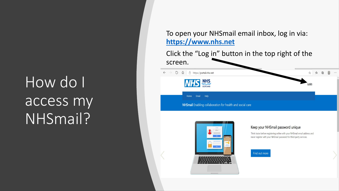# How do I access my NHSmail?

### To open your NHSmail email inbox, log in via: **[https://www.nhs.net](https://www.nhs.net/)**

Click the "Log in" button in the top right of the screen.

### $\leftarrow$   $\rightarrow$  0  $\hat{\omega}$   $\right)$  https://portal.nhs.net the ≾≒ 魚 **NHS** NHS Home Email Help





#### Keep your NHSmail password unique

Think twice before registering online with your NHSmail email address and never register with your NHSmail password for third-party services.

Find out more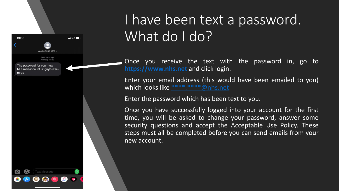

Once you receive the text with the password in, go to **[https://www.nhs.net](https://www.nhs.net/)** and click login.

Enter your email address (this would have been emailed to you) which looks like [\\*\\*\\*\\*.\\*\\*\\*\\*@nhs.net](mailto:****.****@nhs.net)

Enter the password which has been text to you.

13:35

mrgp

 $\blacksquare$  46

**Text Message** Monday 14:36

The password for your new NHSmail account is: gnyh-izse-

> Once you have successfully logged into your account for the first time, you will be asked to change your password, answer some security questions and accept the Acceptable Use Policy. These steps must all be completed before you can send emails from your new account.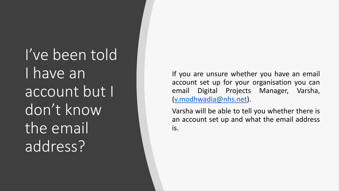I've been told I have an account but I don't know the email address?

If you are unsure whether you have an email account set up for your organisation you can email Digital Projects Manager, Varsha, ([v.modhwadia@nhs.net](mailto:v.modhwadia@nhs.net)).

Varsha will be able to tell you whether there is an account set up and what the email address is.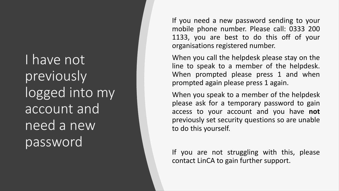I have not previously logged into my account and need a new password

If you need a new password sending to your mobile phone number. Please call: 0333 200 1133, you are best to do this off of your organisations registered number.

When you call the helpdesk please stay on the line to speak to a member of the helpdesk. When prompted please press 1 and when prompted again please press 1 again.

When you speak to a member of the helpdesk please ask for a temporary password to gain access to your account and you have **not** previously set security questions so are unable to do this yourself.

If you are not struggling with this, please contact LinCA to gain further support.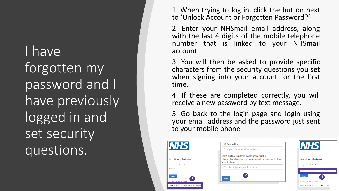I have forgotten my password and I have previously logged in and set security questions.

1. When trying to log in, click the button next to 'Unlock Account or Forgotten Password?'

2. Enter your NHSmail email address, along with the last 4 digits of the mobile telephone number that is linked to your NHSmail account.

3. You will then be asked to provide specific characters from the security questions you set when signing into your account for the first time.

4. If these are completed correctly, you will receive a new password by text message.

5. Go back to the login page and login using your email address and the password just sent to your mobile phone

 $\overline{\mathbf{L}}$ 

Sign in

| <i><b>IHS</b></i>                          | <b>NHS Email Address</b>                                                                                           | <b>NHS</b>                                        |
|--------------------------------------------|--------------------------------------------------------------------------------------------------------------------|---------------------------------------------------|
|                                            | Enter your nhs.net email for verification                                                                          |                                                   |
| with your NHSmail account                  | Last 4 digits of registered mobile phone number<br>(if no mobile phone number registered with your account, please | Sign in with your NHSmail account                 |
|                                            | leave it blank)                                                                                                    |                                                   |
| e.account@nhs.net<br>rel                   | Enter last 4 digits of mobile number                                                                               | example.account@nhs.net                           |
|                                            |                                                                                                                    |                                                   |
| in,                                        | <b>Next</b>                                                                                                        | Sion in<br>4                                      |
| is a private computer                      |                                                                                                                    | This is a private computer                        |
| Account or Forgotten Password? Click here. |                                                                                                                    | Unlock Account or Forgotten Password? Click here. |
|                                            |                                                                                                                    |                                                   |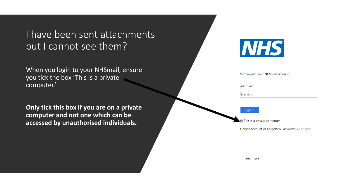I have been sent attachments but I cannot see them?

When you login to your NHSmail, ensure you tick the box 'This is a private computer.'

**Only tick this box if you are on a private computer and not one which can be accessed by unauthorised individuals.** 

|--|--|

#### Sign in with your NHSmail account

| @nhs.net |
|----------|
| Password |

#### Sign in

This is a private computer

Unlock Account or Forgotten Password? Click here.

**Home**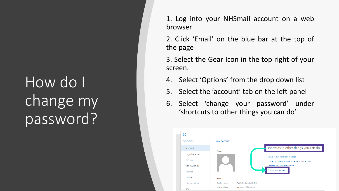### How do I change my password?

1 . Log into your NHSmail account on a web browser

2. Click 'Email' on the blue bar at the top of the page

3. Select the Gear Icon in the top right of your screen .

- 4. Select 'Options' from the drop down list
- 5. Select the 'account' tab on the left panel
- 6. Select 'change your password' under 'shortcuts to other things you can do'

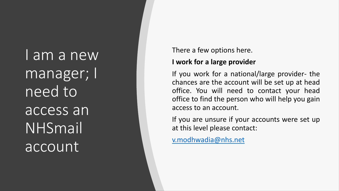I am a new manager; I need to access an NHSmail account

There a few options here .

### **I work for a large provider**

If you work for a national/large provider- the chances are the account will be set up at head office . You will need to contact your head office to find the person who will help you gain access to an account .

If you are unsure if your accounts were set up at this level please contact :

[v.modhwadia@nhs.net](mailto:v.Modhwadia@nhs.net)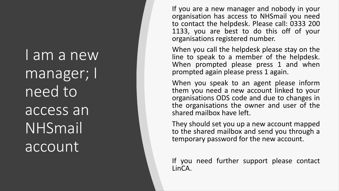I am a new manager; I need to access an NHSmail account

If you are a new manager and nobody in your organisation has access to NHSmail you need to contact the helpdesk . Please call : 0333 200 1133 , you are best to do this off of your organisations registered number.

When you call the helpdesk please stay on the line to speak to a member of the helpdesk . When prompted please press 1 and when prompted again please press 1 again .

When you speak to an agent please inform them you need a new account linked to your organisations ODS code and due to changes in the organisations the owner and user of the shared mailbox have left .

They should set you up a new account mapped to the shared mailbox and send you through a temporary password for the new account .

If you need further support please contact LinCA .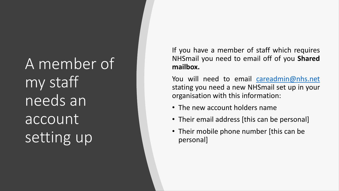A member of my staff needs an account setting up

If you have a member of staff which requires NHSmail you need to email off of you **Shared mailbox.**

You will need to email [careadmin@nhs.net](mailto:careadmin@nhs.net) stating you need a new NHSmail set up in your organisation with this information:

- The new account holders name
- Their email address [this can be personal]
- Their mobile phone number [this can be personal]